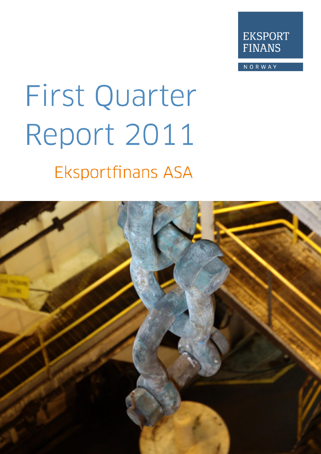

**NORWAY** 

# First Quarter Report 2011 **Eksportfinans ASA**

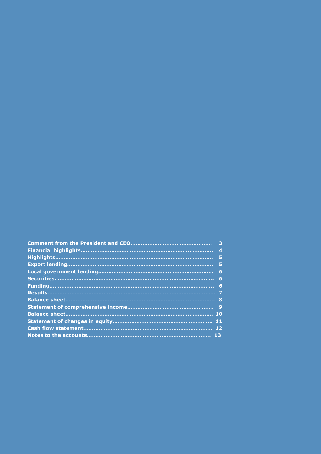| 4   |
|-----|
| -5  |
| - 5 |
| 6   |
| - 6 |
| 6   |
|     |
|     |
|     |
|     |
|     |
|     |
|     |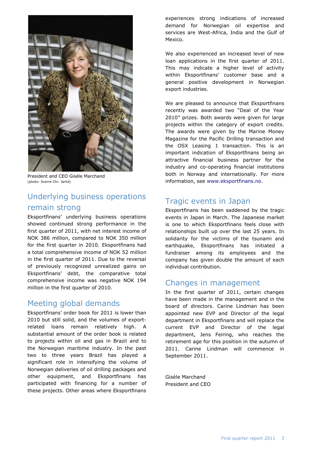

President and CEO Gisèle Marchand (photo: Sverre Chr. Jarlid)

## Underlying business operations remain strong

Eksportfinans" underlying business operations showed continued strong performance in the first quarter of 2011, with net interest income of NOK 386 million, compared to NOK 350 million for the first quarter in 2010. Eksportfinans had a total comprehensive income of NOK 52 million in the first quarter of 2011. Due to the reversal of previously recognized unrealized gains on Eksportfinans" debt, the comparative total comprehensive income was negative NOK 194 million in the first quarter of 2010.

#### Meeting global demands

Eksportfinans" order book for 2011 is lower than 2010 but still solid, and the volumes of exportrelated loans remain relatively high. A substantial amount of the order book is related to projects within oil and gas in Brazil and to the Norwegian maritime industry. In the past two to three years Brazil has played a significant role in intensifying the volume of Norwegian deliveries of oil drilling packages and other equipment, and Eksportfinans has participated with financing for a number of these projects. Other areas where Eksportfinans experiences strong indications of increased demand for Norwegian oil expertise and services are West-Africa, India and the Gulf of Mexico.

We also experienced an increased level of new loan applications in the first quarter of 2011. This may indicate a higher level of activity within Eksportfinans' customer base and a general positive development in Norwegian export industries.

We are pleased to announce that Eksportfinans recently was awarded two "Deal of the Year 2010" prizes. Both awards were given for large projects within the category of export credits. The awards were given by the Marine Money Magazine for the Pacific Drilling transaction and the OSX Leasing 1 transaction. This is an important indication of Eksportfinans being an attractive financial business partner for the industry and co-operating financial institutions both in Norway and internationally. For more information, see [www.eksportfinans.no.](http://www.eksportfinans.no/)

#### Tragic events in Japan

Eksportfinans has been saddened by the tragic events in Japan in March. The Japanese market is one to which Eksportfinans feels close with relationships built up over the last 25 years. In solidarity for the victims of the tsunami and earthquake, Eksportfinans has initiated a fundraiser among its employees and the company has given double the amount of each individual contribution.

#### Changes in management

In the first quarter of 2011, certain changes have been made in the management and in the board of directors. Carine Lindman has been appointed new EVP and Director of the legal department in Eksportfinans and will replace the current EVP and Director of the legal department, Jens Feiring, who reaches the retirement age for this position in the autumn of 2011. Carine Lindman will commence in September 2011.

Gisèle Marchand President and CEO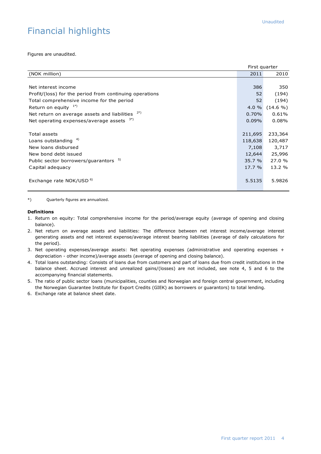# Financial highlights

Figures are unaudited.

|                                                         | First quarter |             |
|---------------------------------------------------------|---------------|-------------|
| (NOK million)                                           | 2011          | 2010        |
|                                                         |               |             |
| Net interest income                                     | 386           | 350         |
| Profit/(loss) for the period from continuing operations | 52            | (194)       |
| Total comprehensive income for the period               | 52            | (194)       |
| Return on equity $1*$ )                                 | $4.0 \%$      | $(14.6\% )$ |
| 2*)<br>Net return on average assets and liabilities     | 0.70%         | 0.61%       |
| Net operating expenses/average assets $3^{(*)}$         | $0.09\%$      | $0.08\%$    |
|                                                         |               |             |
| Total assets                                            | 211,695       | 233,364     |
| Loans outstanding $4)$                                  | 118,638       | 120,487     |
| New loans disbursed                                     | 7,108         | 3,717       |
| New bond debt issued                                    | 12,644        | 25,996      |
| 5)<br>Public sector borrowers/guarantors                | 35.7%         | 27.0%       |
| Capital adequacy                                        | 17.7 %        | 13.2 %      |
|                                                         |               |             |
| Exchange rate NOK/USD <sup>6)</sup>                     | 5.5135        | 5.9826      |
|                                                         |               |             |

\*) Quarterly figures are annualized.

#### **Definitions**

- 1. Return on equity: Total comprehensive income for the period/average equity (average of opening and closing balance).
- 2. Net return on average assets and liabilities: The difference between net interest income/average interest generating assets and net interest expense/average interest bearing liabilities (average of daily calculations for the period).
- 3. Net operating expenses/average assets: Net operating expenses (administrative and operating expenses + depreciation - other income)/average assets (average of opening and closing balance).
- 4. Total loans outstanding: Consists of loans due from customers and part of loans due from credit institutions in the balance sheet. Accrued interest and unrealized gains/(losses) are not included, see note 4, 5 and 6 to the accompanying financial statements.
- 5. The ratio of public sector loans (municipalities, counties and Norwegian and foreign central government, including the Norwegian Guarantee Institute for Export Credits (GIEK) as borrowers or guarantors) to total lending.
- 6. Exchange rate at balance sheet date.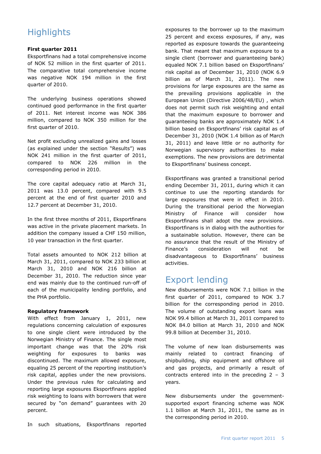# **Highlights**

#### **First quarter 2011**

Eksportfinans had a total comprehensive income of NOK 52 million in the first quarter of 2011. The comparative total comprehensive income was negative NOK 194 million in the first quarter of 2010.

The underlying business operations showed continued good performance in the first quarter of 2011. Net interest income was NOK 386 million, compared to NOK 350 million for the first quarter of 2010.

Net profit excluding unrealized gains and losses (as explained under the section "Results") was NOK 241 million in the first quarter of 2011, compared to NOK 226 million in the corresponding period in 2010.

The core capital adequacy ratio at March 31, 2011 was 13.0 percent, compared with 9.5 percent at the end of first quarter 2010 and 12.7 percent at December 31, 2010.

In the first three months of 2011, Eksportfinans was active in the private placement markets. In addition the company issued a CHF 150 million, 10 year transaction in the first quarter.

Total assets amounted to NOK 212 billion at March 31, 2011, compared to NOK 233 billion at March 31, 2010 and NOK 216 billion at December 31, 2010. The reduction since year end was mainly due to the continued run-off of each of the municipality lending portfolio, and the PHA portfolio.

#### **Regulatory framework**

With effect from January 1, 2011, new regulations concerning calculation of exposures to one single client were introduced by the Norwegian Ministry of Finance. The single most important change was that the 20% risk weighting for exposures to banks was discontinued. The maximum allowed exposure, equaling 25 percent of the reporting institution"s risk capital, applies under the new provisions. Under the previous rules for calculating and reporting large exposures Eksportfinans applied risk weighting to loans with borrowers that were secured by "on demand" guarantees with 20 percent.

In such situations, Eksportfinans reported

exposures to the borrower up to the maximum 25 percent and excess exposures, if any, was reported as exposure towards the guaranteeing bank. That meant that maximum exposure to a single client (borrower and guaranteeing bank) equaled NOK 7.1 billion based on Eksportfinans" risk capital as of December 31, 2010 (NOK 6.9 billion as of March 31, 2011). The new provisions for large exposures are the same as the prevailing provisions applicable in the European Union (Directive 2006/48/EU) , which does not permit such risk weighting and entail that the maximum exposure to borrower and guaranteeing banks are approximately NOK 1.4 billion based on Eksportfinans' risk capital as of December 31, 2010 (NOK 1.4 billion as of March 31, 2011) and leave little or no authority for Norwegian supervisory authorities to make exemptions. The new provisions are detrimental to Eksportfinans' business concept.

Eksportfinans was granted a transitional period ending December 31, 2011, during which it can continue to use the reporting standards for large exposures that were in effect in 2010. During the transitional period the Norwegian Ministry of Finance will consider how Eksportfinans shall adopt the new provisions. Eksportfinans is in dialog with the authorities for a sustainable solution. However, there can be no assurance that the result of the Ministry of Finance"s consideration will not be disadvantageous to Eksportfinans' business activities.

## Export lending

New disbursements were NOK 7.1 billion in the first quarter of 2011, compared to NOK 3.7 billion for the corresponding period in 2010. The volume of outstanding export loans was NOK 99.4 billion at March 31, 2011 compared to NOK 84.0 billion at March 31, 2010 and NOK 99.8 billion at December 31, 2010.

The volume of new loan disbursements was mainly related to contract financing of shipbuilding, ship equipment and offshore oil and gas projects, and primarily a result of contracts entered into in the preceding 2 – 3 years.

New disbursements under the governmentsupported export financing scheme was NOK 1.1 billion at March 31, 2011, the same as in the corresponding period in 2010.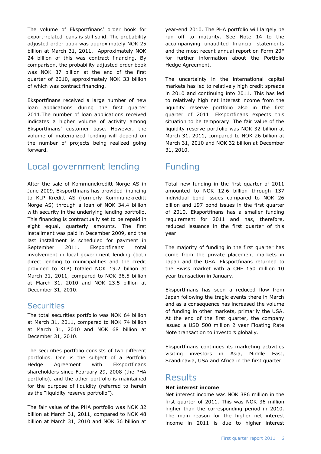The volume of Eksportfinans' order book for export-related loans is still solid. The probability adjusted order book was approximately NOK 25 billion at March 31, 2011. Approximately NOK 24 billion of this was contract financing. By comparison, the probability adjusted order book was NOK 37 billion at the end of the first quarter of 2010, approximately NOK 33 billion of which was contract financing.

Eksportfinans received a large number of new loan applications during the first quarter 2011.The number of loan applications received indicates a higher volume of activity among Eksportfinans" customer base. However, the volume of materialized lending will depend on the number of projects being realized going forward.

## Local government lending

After the sale of Kommunekreditt Norge AS in June 2009, Eksportfinans has provided financing to KLP Kreditt AS (formerly Kommunekreditt Norge AS) through a loan of NOK 34.4 billion with security in the underlying lending portfolio. This financing is contractually set to be repaid in eight equal, quarterly amounts. The first installment was paid in December 2009, and the last installment is scheduled for payment in September 2011. Eksportfinans' total involvement in local government lending (both direct lending to municipalities and the credit provided to KLP) totaled NOK 19.2 billion at March 31, 2011, compared to NOK 36.5 billion at March 31, 2010 and NOK 23.5 billion at December 31, 2010.

#### **Securities**

The total securities portfolio was NOK 64 billion at March 31, 2011, compared to NOK 74 billion at March 31, 2010 and NOK 68 billion at December 31, 2010.

The securities portfolio consists of two different portfolios. One is the subject of a Portfolio Hedge Agreement with Eksportfinans shareholders since February 29, 2008 (the PHA portfolio), and the other portfolio is maintained for the purpose of liquidity (referred to herein as the "liquidity reserve portfolio").

The fair value of the PHA portfolio was NOK 32 billion at March 31, 2011, compared to NOK 48 billion at March 31, 2010 and NOK 36 billion at year-end 2010. The PHA portfolio will largely be run off to maturity. See Note 14 to the accompanying unaudited financial statements and the most recent annual report on Form 20F for further information about the Portfolio Hedge Agreement.

The uncertainty in the international capital markets has led to relatively high credit spreads in 2010 and continuing into 2011. This has led to relatively high net interest income from the liquidity reserve portfolio also in the first quarter of 2011. Eksportfinans expects this situation to be temporary. The fair value of the liquidity reserve portfolio was NOK 32 billion at March 31, 2011, compared to NOK 26 billion at March 31, 2010 and NOK 32 billion at December 31, 2010.

## Funding

Total new funding in the first quarter of 2011 amounted to NOK 12.6 billion through 137 individual bond issues compared to NOK 26 billion and 197 bond issues in the first quarter of 2010. Eksportfinans has a smaller funding requirement for 2011 and has, therefore, reduced issuance in the first quarter of this year.

The majority of funding in the first quarter has come from the private placement markets in Japan and the USA. Eksportfinans returned to the Swiss market with a CHF 150 million 10 year transaction in January.

Eksportfinans has seen a reduced flow from Japan following the tragic events there in March and as a consequence has increased the volume of funding in other markets, primarily the USA. At the end of the first quarter, the company issued a USD 500 million 2 year Floating Rate Note transaction to investors globally.

Eksportfinans continues its marketing activities visiting investors in Asia, Middle East, Scandinavia, USA and Africa in the first quarter.

#### **Results**

#### **Net interest income**

Net interest income was NOK 386 million in the first quarter of 2011. This was NOK 36 million higher than the corresponding period in 2010. The main reason for the higher net interest income in 2011 is due to higher interest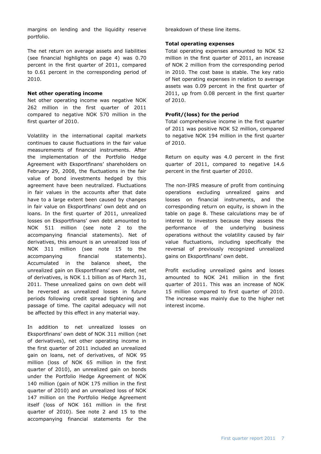margins on lending and the liquidity reserve portfolio.

The net return on average assets and liabilities (see financial highlights on page 4) was 0.70 percent in the first quarter of 2011, compared to 0.61 percent in the corresponding period of 2010.

#### **Net other operating income**

Net other operating income was negative NOK 262 million in the first quarter of 2011 compared to negative NOK 570 million in the first quarter of 2010.

Volatility in the international capital markets continues to cause fluctuations in the fair value measurements of financial instruments. After the implementation of the Portfolio Hedge Agreement with Eksportfinans' shareholders on February 29, 2008, the fluctuations in the fair value of bond investments hedged by this agreement have been neutralized. Fluctuations in fair values in the accounts after that date have to a large extent been caused by changes in fair value on Eksportfinans' own debt and on loans. In the first quarter of 2011, unrealized losses on Eksportfinans' own debt amounted to NOK 511 million (see note 2 to the accompanying financial statements). Net of derivatives, this amount is an unrealized loss of NOK 311 million (see note 15 to the accompanying financial statements). Accumulated in the balance sheet, the unrealized gain on Eksportfinans" own debt, net of derivatives, is NOK 1.1 billion as of March 31, 2011. These unrealized gains on own debt will be reversed as unrealized losses in future periods following credit spread tightening and passage of time. The capital adequacy will not be affected by this effect in any material way.

In addition to net unrealized losses on Eksportfinans" own debt of NOK 311 million (net of derivatives), net other operating income in the first quarter of 2011 included an unrealized gain on loans, net of derivatives, of NOK 95 million (loss of NOK 65 million in the first quarter of 2010), an unrealized gain on bonds under the Portfolio Hedge Agreement of NOK 140 million (gain of NOK 175 million in the first quarter of 2010) and an unrealized loss of NOK 147 million on the Portfolio Hedge Agreement itself (loss of NOK 161 million in the first quarter of 2010). See note 2 and 15 to the accompanying financial statements for the

breakdown of these line items.

#### **Total operating expenses**

Total operating expenses amounted to NOK 52 million in the first quarter of 2011, an increase of NOK 2 million from the corresponding period in 2010. The cost base is stable. The key ratio of Net operating expenses in relation to average assets was 0.09 percent in the first quarter of 2011, up from 0.08 percent in the first quarter of 2010.

#### **Profit/(loss) for the period**

Total comprehensive income in the first quarter of 2011 was positive NOK 52 million, compared to negative NOK 194 million in the first quarter of 2010.

Return on equity was 4.0 percent in the first quarter of 2011, compared to negative 14.6 percent in the first quarter of 2010.

The non-IFRS measure of profit from continuing operations excluding unrealized gains and losses on financial instruments, and the corresponding return on equity, is shown in the table on page 8. These calculations may be of interest to investors because they assess the performance of the underlying business operations without the volatility caused by fair value fluctuations, including specifically the reversal of previously recognized unrealized gains on Eksportfinans' own debt.

Profit excluding unrealized gains and losses amounted to NOK 241 million in the first quarter of 2011. This was an increase of NOK 15 million compared to first quarter of 2010. The increase was mainly due to the higher net interest income.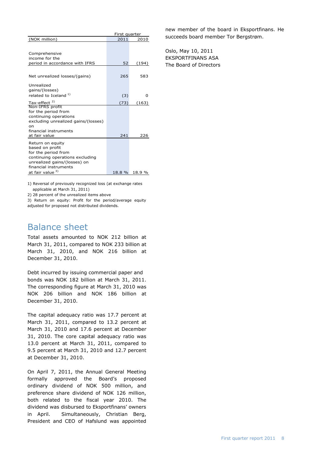|                                                                                                                                                                                             | First quarter |               |  |  |
|---------------------------------------------------------------------------------------------------------------------------------------------------------------------------------------------|---------------|---------------|--|--|
| (NOK million)                                                                                                                                                                               | 2011          | 2010          |  |  |
| Comprehensive                                                                                                                                                                               |               |               |  |  |
| income for the                                                                                                                                                                              |               |               |  |  |
| period in accordance with IFRS                                                                                                                                                              | 52            | (194)         |  |  |
| Net unrealized losses/(gains)                                                                                                                                                               | 265           | 583           |  |  |
| Unrealized<br>gains/(losses)<br>related to Iceland <sup>1)</sup>                                                                                                                            | (3)           | o             |  |  |
| Tax-effect <sup>2)</sup>                                                                                                                                                                    | (73)          | (163)         |  |  |
| Non-IFRS profit<br>for the period from<br>continuing operations<br>excluding unrealized gains/(losses)<br>on                                                                                |               |               |  |  |
| financial instruments                                                                                                                                                                       |               |               |  |  |
| at fair value<br>Return on equity<br>based on profit<br>for the period from<br>continuing operations excluding<br>unrealized gains/(losses) on<br>financial instruments<br>at fair value 3) | 241<br>18.8 % | 226<br>18.9 % |  |  |
|                                                                                                                                                                                             |               |               |  |  |

1) Reversal of previously recognized loss (at exchange rates applicable at March 31, 2011)

2) 28 percent of the unrealized items above

3) Return on equity: Profit for the period/average equity adjusted for proposed not distributed dividends.

### Balance sheet

Total assets amounted to NOK 212 billion at March 31, 2011, compared to NOK 233 billion at March 31, 2010, and NOK 216 billion at December 31, 2010.

Debt incurred by issuing commercial paper and bonds was NOK 182 billion at March 31, 2011. The corresponding figure at March 31, 2010 was NOK 206 billion and NOK 186 billion at December 31, 2010.

The capital adequacy ratio was 17.7 percent at March 31, 2011, compared to 13.2 percent at March 31, 2010 and 17.6 percent at December 31, 2010. The core capital adequacy ratio was 13.0 percent at March 31, 2011, compared to 9.5 percent at March 31, 2010 and 12.7 percent at December 31, 2010.

On April 7, 2011, the Annual General Meeting formally approved the Board's proposed ordinary dividend of NOK 500 million, and preference share dividend of NOK 126 million, both related to the fiscal year 2010. The dividend was disbursed to Eksportfinans" owners in April. Simultaneously, Christian Berg, President and CEO of Hafslund was appointed

new member of the board in Eksportfinans. He succeeds board member Tor Bergstrøm.

Oslo, May 10, 2011 EKSPORTFINANS ASA The Board of Directors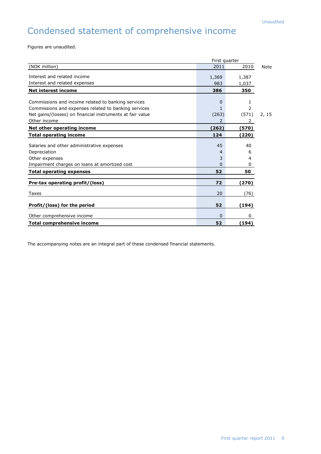# Condensed statement of comprehensive income

Figures are unaudited.

| First quarter                                             |       |          |             |
|-----------------------------------------------------------|-------|----------|-------------|
| (NOK million)                                             | 2011  | 2010     | <b>Note</b> |
| Interest and related income                               | 1,369 | 1,387    |             |
| Interest and related expenses                             | 983   | 1,037    |             |
| <b>Net interest income</b>                                | 386   | 350      |             |
| Commissions and income related to banking services        | 0     | 1        |             |
|                                                           |       |          |             |
| Commissions and expenses related to banking services      | 1     | 2        |             |
| Net gains/(losses) on financial instruments at fair value | (263) | (571)    | 2, 15       |
| Other income                                              | 2     | 2        |             |
| Net other operating income                                | (262) | (570)    |             |
| <b>Total operating income</b>                             | 124   | (220)    |             |
| Salaries and other administrative expenses                | 45    | 40       |             |
| Depreciation                                              | 4     | 6        |             |
| Other expenses                                            | 3     | 4        |             |
| Impairment charges on loans at amortized cost             | 0     | $\Omega$ |             |
| <b>Total operating expenses</b>                           | 52    | 50       |             |
| Pre-tax operating profit/(loss)                           | 72    | (270)    |             |
|                                                           |       |          |             |
| Taxes                                                     | 20    | (76)     |             |
| Profit/(loss) for the period                              | 52    | (194)    |             |
| Other comprehensive income                                | 0     | 0        |             |
| <b>Total comprehensive income</b>                         | 52    | (194)    |             |

The accompanying notes are an integral part of these condensed financial statements.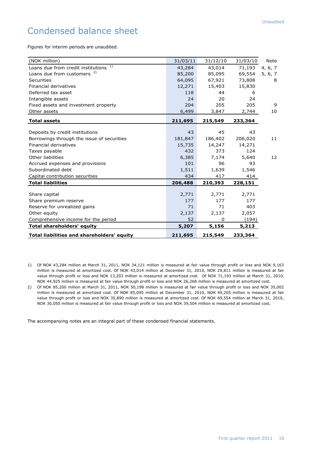# Condensed balance sheet

Figures for interim periods are unaudited.

| (NOK million)                                     | 31/03/11 | 31/12/10 | 31/03/10 | Note    |
|---------------------------------------------------|----------|----------|----------|---------|
| Loans due from credit institutions 1)             | 43,284   | 43,014   | 71,193   | 4, 6, 7 |
| Loans due from customers <sup>2)</sup>            | 85,200   | 85,095   | 69,554   | 5, 6, 7 |
| Securities                                        | 64,095   | 67,921   | 73,808   | 8       |
| Financial derivatives                             | 12,271   | 15,403   | 15,830   |         |
| Deferred tax asset                                | 118      | 44       | 6        |         |
| Intangible assets                                 | 24       | 20       | 24       |         |
| Fixed assets and investment property              | 204      | 205      | 205      | 9       |
| Other assets                                      | 6,499    | 3,847    | 2,744    | 10      |
| <b>Total assets</b>                               | 211,695  | 215,549  | 233,364  |         |
|                                                   |          |          |          |         |
| Deposits by credit institutions                   | 43       | 45       | 43       |         |
| Borrowings through the issue of securities        | 181,847  | 186,402  | 206,020  | 11      |
| Financial derivatives                             | 15,735   | 14,247   | 14,271   |         |
| Taxes payable                                     | 432      | 373      | 124      |         |
| Other liabilities                                 | 6,385    | 7,174    | 5,640    | 12      |
| Accrued expenses and provisions                   | 101      | 96       | 93       |         |
| Subordinated debt                                 | 1,511    | 1,639    | 1,546    |         |
| Capital contribution securities                   | 434      | 417      | 414      |         |
| <b>Total liabilities</b>                          | 206,488  | 210,393  | 228,151  |         |
|                                                   |          |          |          |         |
| Share capital                                     | 2,771    | 2,771    | 2,771    |         |
| Share premium reserve                             | 177      | 177      | 177      |         |
| Reserve for unrealized gains                      | 71       | 71       | 403      |         |
| Other equity                                      | 2,137    | 2,137    | 2,057    |         |
| Comprehensive income for the period               | 52       | 0        | (194)    |         |
| <b>Total shareholders' equity</b>                 | 5,207    | 5,156    | 5,213    |         |
| <b>Total liabilities and shareholders' equity</b> | 211,695  | 215,549  | 233,364  |         |

The accompanying notes are an integral part of these condensed financial statements.

<sup>1)</sup> Of NOK 43,284 million at March 31, 2011, NOK 34,121 million is measured at fair value through profit or loss and NOK 9,163 million is measured at amortized cost. Of NOK 43,014 million at December 31, 2010, NOK 29,811 million is measured at fair value through profit or loss and NOK 13,203 million is measured at amortized cost. Of NOK 71,193 million at March 31, 2010, NOK 44,925 million is measured at fair value through profit or loss and NOK 26,268 million is measured at amortized cost.

<sup>2)</sup> Of NOK 85,200 million at March 31, 2011, NOK 50,198 million is measured at fair value through profit or loss and NOK 35,002 million is measured at amortized cost. Of NOK 85,095 million at December 31, 2010, NOK 49,205 million is measured at fair value through profit or loss and NOK 35,890 million is measured at amortized cost. Of NOK 69,554 million at March 31, 2010, NOK 30,050 million is measured at fair value through profit or loss and NOK 39,504 million is measured at amortized cost.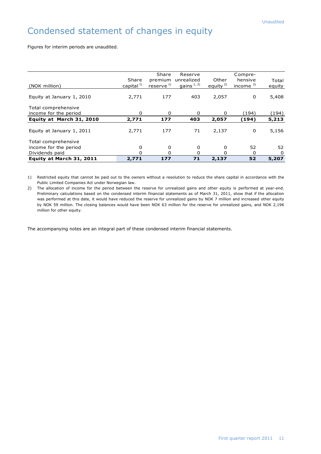# Condensed statement of changes in equity

Figures for interim periods are unaudited.

|                           |                 | Share                 | Reserve      |            | Compre-    |        |
|---------------------------|-----------------|-----------------------|--------------|------------|------------|--------|
|                           | Share           | premium               | unrealized   | Other      | hensive    | Total  |
| (NOK million)             | capital $^{1)}$ | reserve <sup>1)</sup> | gains $1, 2$ | equity $2$ | income $2$ | equity |
|                           |                 |                       |              |            |            |        |
| Equity at January 1, 2010 | 2,771           | 177                   | 403          | 2,057      | 0          | 5,408  |
|                           |                 |                       |              |            |            |        |
| Total comprehensive       |                 |                       |              |            |            |        |
| income for the period     | 0               | 0                     | 0            | 0          | (194)      | (194)  |
|                           |                 |                       |              |            |            |        |
| Equity at March 31, 2010  | 2,771           | 177                   | 403          | 2,057      | (194)      | 5,213  |
|                           |                 |                       |              |            |            |        |
| Equity at January 1, 2011 | 2,771           | 177                   | 71           | 2,137      | 0          | 5,156  |
| Total comprehensive       |                 |                       |              |            |            |        |
|                           |                 |                       |              |            |            |        |
| income for the period     | 0               | 0                     | 0            | 0          | 52         | 52     |
| Dividends paid            | 0               | 0                     | O            | O          | 0          | 0      |
| Equity at March 31, 2011  | 2,771           | 177                   | 71           | 2,137      | 52         | 5,207  |

1) Restricted equity that cannot be paid out to the owners without a resolution to reduce the share capital in accordance with the Public Limited Companies Act under Norwegian law.

2) The allocation of income for the period between the reserve for unrealized gains and other equity is performed at year-end. Preliminary calculations based on the condensed interim financial statements as of March 31, 2011, show that if the allocation was performed at this date, it would have reduced the reserve for unrealized gains by NOK 7 million and increased other equity by NOK 59 million. The closing balances would have been NOK 63 million for the reserve for unrealized gains, and NOK 2,196 million for other equity.

The accompanying notes are an integral part of these condensed interim financial statements.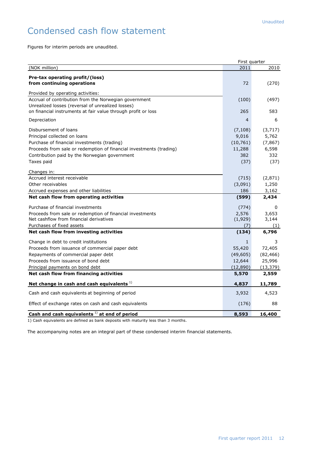# Condensed cash flow statement

Figures for interim periods are unaudited.

|                                                                     | First quarter |           |
|---------------------------------------------------------------------|---------------|-----------|
| (NOK million)                                                       | 2011          | 2010      |
| Pre-tax operating profit/(loss)<br>from continuing operations       | 72            | (270)     |
|                                                                     |               |           |
| Provided by operating activities:                                   |               |           |
| Accrual of contribution from the Norwegian government               | (100)         | (497)     |
| Unrealized losses (reversal of unrealized losses)                   |               |           |
| on financial instruments at fair value through profit or loss       | 265           | 583       |
| Depreciation                                                        | 4             | 6         |
| Disbursement of loans                                               | (7, 108)      | (3,717)   |
| Principal collected on loans                                        | 9,016         | 5,762     |
| Purchase of financial investments (trading)                         | (10, 761)     | (7, 867)  |
| Proceeds from sale or redemption of financial investments (trading) | 11,288        | 6,598     |
| Contribution paid by the Norwegian government                       | 382           | 332       |
| Taxes paid                                                          | (37)          | (37)      |
| Changes in:                                                         |               |           |
| Accrued interest receivable                                         | (715)         | (2,871)   |
| Other receivables                                                   | (3,091)       | 1,250     |
| Accrued expenses and other liabilities                              | 186           | 3,162     |
| Net cash flow from operating activities                             | (599)         | 2,434     |
| Purchase of financial investments                                   | (774)         | 0         |
| Proceeds from sale or redemption of financial investments           | 2,576         | 3,653     |
| Net cashflow from financial derivatives                             | (1,929)       | 3,144     |
| Purchases of fixed assets                                           | (7)           | (1)       |
| Net cash flow from investing activities                             | (134)         | 6,796     |
| Change in debt to credit institutions                               | $\mathbf{1}$  | 3         |
| Proceeds from issuance of commercial paper debt                     | 55,420        | 72,405    |
| Repayments of commercial paper debt                                 | (49,605)      | (82, 466) |
| Proceeds from issuance of bond debt                                 | 12,644        | 25,996    |
| Principal payments on bond debt                                     | (12, 890)     | (13, 379) |
| Net cash flow from financing activities                             | 5,570         | 2,559     |
| Net change in cash and cash equivalents <sup>1)</sup>               | 4,837         | 11,789    |
| Cash and cash equivalents at beginning of period                    | 3,932         | 4,523     |
| Effect of exchange rates on cash and cash equivalents               | (176)         | 88        |
| Cash and cash equivalents $1$ at end of period                      | 8,593         | 16,400    |

1) Cash equivalents are defined as bank deposits with maturity less than 3 months.

The accompanying notes are an integral part of these condensed interim financial statements.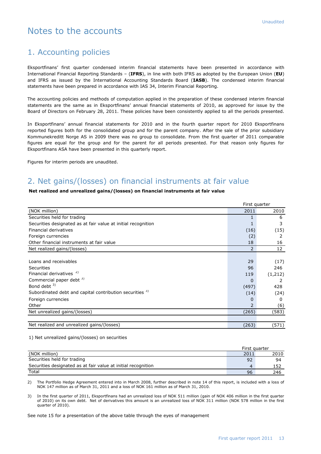## Notes to the accounts

#### 1. Accounting policies

Eksportfinans" first quarter condensed interim financial statements have been presented in accordance with International Financial Reporting Standards – (**IFRS**), in line with both IFRS as adopted by the European Union (**EU**) and IFRS as issued by the International Accounting Standards Board (**IASB**). The condensed interim financial statements have been prepared in accordance with IAS 34, Interim Financial Reporting.

The accounting policies and methods of computation applied in the preparation of these condensed interim financial statements are the same as in Eksportfinans" annual financial statements of 2010, as approved for issue by the Board of Directors on February 28, 2011. These policies have been consistently applied to all the periods presented.

In Eksportfinans" annual financial statements for 2010 and in the fourth quarter report for 2010 Eksportfinans reported figures both for the consolidated group and for the parent company. After the sale of the prior subsidiary Kommunekreditt Norge AS in 2009 there was no group to consolidate. From the first quarter of 2011 comparable figures are equal for the group and for the parent for all periods presented. For that reason only figures for Eksportfinans ASA have been presented in this quarterly report.

Figures for interim periods are unaudited.

#### 2. Net gains/(losses) on financial instruments at fair value

#### **Net realized and unrealized gains/(losses) on financial instruments at fair value**

|                                                               |          | First quarter   |
|---------------------------------------------------------------|----------|-----------------|
| (NOK million)                                                 | 2011     | 2010            |
| Securities held for trading                                   |          | 6               |
| Securities designated as at fair value at initial recognition |          | 3               |
| Financial derivatives                                         | (16)     | (15)            |
| Foreign currencies                                            | (2)      | 2               |
| Other financial instruments at fair value                     | 18       | 16              |
| Net realized gains/(losses)                                   | 2        | 12 <sup>2</sup> |
|                                                               |          |                 |
| Loans and receivables                                         | 29       | (17)            |
| <b>Securities</b>                                             | 96       | 246             |
| Financial derivatives <sup>2)</sup>                           | 119      | (1, 212)        |
| Commercial paper debt 3)                                      | $\Omega$ | 2               |
| Bond debt $3)$                                                | (497)    | 428             |
| Subordinated debt and capital contribution securities 3)      | (14)     | (24)            |
| Foreign currencies                                            | 0        | 0               |
| Other                                                         | 2        | (6)             |
| Net unrealized gains/(losses)                                 | (265)    | (583)           |
|                                                               |          |                 |
| Net realized and unrealized gains/(losses)                    | (263)    | (571)           |

#### 1) Net unrealized gains/(losses) on securities

|                                                               | First quarter |      |
|---------------------------------------------------------------|---------------|------|
| (NOK million)                                                 | 2011          | 2010 |
| Securities held for trading                                   | 92            | 94   |
| Securities designated as at fair value at initial recognition |               | 152  |
| Total                                                         | 96            | 246  |

2) The Portfolio Hedge Agreement entered into in March 2008, further described in note 14 of this report, is included with a loss of NOK 147 million as of March 31, 2011 and a loss of NOK 161 million as of March 31, 2010.

3) In the first quarter of 2011, Eksportfinans had an unrealized loss of NOK 511 million (gain of NOK 406 million in the first quarter of 2010) on its own debt. Net of derivatives this amount is an unrealized loss of NOK 311 million (NOK 578 million in the first quarter of 2010).

See note 15 for a presentation of the above table through the eyes of management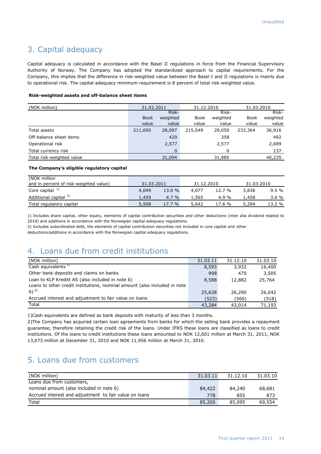#### 3. Capital adequacy

Capital adequacy is calculated in accordance with the Basel II regulations in force from the Financial Supervisory Authority of Norway. The Company has adopted the standardized approach to capital requirements. For the Company, this implies that the difference in risk-weighted value between the Basel I and II regulations is mainly due to operational risk. The capital adequacy minimum requirement is 8 percent of total risk-weighted value.

#### **Risk-weighted assets and off-balance sheet items**

| (NOK million)             | 31.03.2011<br>31.12.2010 |          |         | 31.03.2010 |         |          |
|---------------------------|--------------------------|----------|---------|------------|---------|----------|
|                           |                          | Risk-    |         | Risk-      |         | Risk-    |
|                           | <b>Book</b>              | weighted | Book    | weighted   | Book    | weighted |
|                           | value                    | value    | value   | value      | value   | value    |
| Total assets              | 211,695                  | 28,097   | 215,549 | 29,050     | 233,364 | 36,916   |
| Off-balance sheet items   |                          | 420      |         | 358        |         | 492      |
| Operational risk          |                          | 2,577    |         | 2,577      |         | 2,689    |
| Total currency risk       |                          | 0        |         | 0          |         | 137      |
| Total risk-weighted value |                          | 31,094   |         | 31,985     |         | 40,235   |

#### **The Company's eligible regulatory capital**

| (NOK million                           |            |         |            |        |            |         |
|----------------------------------------|------------|---------|------------|--------|------------|---------|
| and in percent of risk-weighted value) | 31.03.2011 |         | 31.12.2010 |        | 31.03.2010 |         |
| Core capital $1$                       | 4,049      | 13.0 %  | 4,077      | 12.7 % | 3,836      | $9.5\%$ |
| Additional capital <sup>2)</sup>       | 1,459      | $4.7\%$ | 1.565      | 4.9 %  | 1,458      | 3.6 %   |
| Total regulatory capital               | 5,508      | 17.7%   | 5,642      | 17.6 % | 5,294      | 13.2 %  |

1) Includes share capital, other equity, elements of capital contribution securities and other deductions (inter alia dividend related to 2010) and additions in accordance with the Norwegian capital adequacy regulations.

2) Includes subordinated debt, the elements of capital contribution securities not included in core capital and other

deductions/additions in accordance with the Norwegian capital adequacy regulations.

#### 4. Loans due from credit institutions

| (NOK million)                                                             | 31.03.11 | 31.12.10 | 31.03.10 |
|---------------------------------------------------------------------------|----------|----------|----------|
| Cash equivalents $1$                                                      | 8,593    | 3,932    | 16,400   |
| Other bank deposits and claims on banks                                   | 998      | 470      | 3,505    |
| Loan to KLP Kreditt AS (also included in note 6)                          | 8,588    | 12,882   | 25,764   |
| Loans to other credit institutions, nominal amount (also included in note |          |          |          |
| $(6)^{2}$                                                                 | 25,628   | 26,290   | 26,042   |
| Accrued interest and adjustment to fair value on loans                    | (523)    | (560)    | (518)    |
| Total                                                                     | 43,284   | 43,014   | 71,193   |

1)Cash equivalents are defined as bank deposits with maturity of less than 3 months.

2)The Company has acquired certain loan agreements from banks for which the selling bank provides a repayment guarantee, therefore retaining the credit risk of the loans. Under IFRS these loans are classified as loans to credit institutions. Of the loans to credit institutions these loans amounted to NOK 12,601 million at March 31, 2011, NOK 13,073 million at December 31, 2010 and NOK 11,956 million at March 31, 2010.

#### 5. Loans due from customers

| (NOK million)                                          | 31.03.11 | 31.12.10 | 31.03.10 |
|--------------------------------------------------------|----------|----------|----------|
| Loans due from customers,                              |          |          |          |
| nominal amount (also included in note 6)               | 84,422   | 84,240   | 68,681   |
| Accrued interest and adjustment to fair value on loans | 778      | 855      | 873      |
| Total                                                  | 85,200   | 85,095   | 69,554   |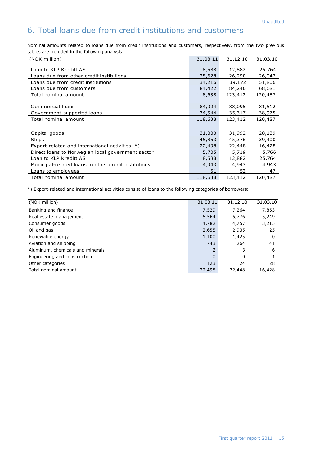## 6. Total loans due from credit institutions and customers

Nominal amounts related to loans due from credit institutions and customers, respectively, from the two previous tables are included in the following analysis.

| (NOK million)                                        | 31.03.11 | 31.12.10 | 31.03.10 |
|------------------------------------------------------|----------|----------|----------|
| Loan to KLP Kreditt AS                               | 8,588    | 12,882   | 25,764   |
|                                                      |          |          |          |
| Loans due from other credit institutions             | 25,628   | 26,290   | 26,042   |
| Loans due from credit institutions                   | 34,216   | 39,172   | 51,806   |
| Loans due from customers                             | 84,422   | 84,240   | 68,681   |
| Total nominal amount                                 | 118,638  | 123,412  | 120,487  |
|                                                      |          |          |          |
| Commercial loans                                     | 84,094   | 88,095   | 81,512   |
| Government-supported loans                           | 34,544   | 35,317   | 38,975   |
| Total nominal amount                                 | 118,638  | 123,412  | 120,487  |
|                                                      |          |          |          |
| Capital goods                                        | 31,000   | 31,992   | 28,139   |
| Ships                                                | 45,853   | 45,376   | 39,400   |
| Export-related and international activities *)       | 22,498   | 22,448   | 16,428   |
| Direct loans to Norwegian local government sector    | 5,705    | 5,719    | 5,766    |
| Loan to KLP Kreditt AS                               | 8,588    | 12,882   | 25,764   |
| Municipal-related loans to other credit institutions | 4,943    | 4,943    | 4,943    |
| Loans to employees                                   | 51       | 52       | 47       |
| Total nominal amount                                 | 118,638  | 123,412  | 120,487  |

\*) Export-related and international activities consist of loans to the following categories of borrowers:

| (NOK million)                    | 31.03.11       | 31.12.10 | 31.03.10 |
|----------------------------------|----------------|----------|----------|
| Banking and finance              | 7,529          | 7,264    | 7,863    |
| Real estate management           | 5,564          | 5,776    | 5,249    |
| Consumer goods                   | 4,782          | 4,757    | 3,215    |
| Oil and gas                      | 2,655          | 2,935    | 25       |
| Renewable energy                 | 1,100          | 1,425    | 0        |
| Aviation and shipping            | 743            | 264      | 41       |
| Aluminum, chemicals and minerals | $\overline{2}$ | 3        | 6        |
| Engineering and construction     | $\Omega$       | 0        |          |
| Other categories                 | 123            | 24       | 28       |
| Total nominal amount             | 22,498         | 22,448   | 16,428   |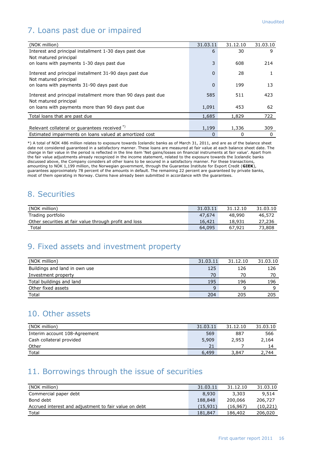# 7. Loans past due or impaired

| (NOK million)                                                 | 31.03.11 | 31.12.10 | 31.03.10 |
|---------------------------------------------------------------|----------|----------|----------|
| Interest and principal installment 1-30 days past due         | 6        | 30       | 9        |
| Not matured principal                                         |          |          |          |
| on loans with payments 1-30 days past due                     | 3        | 608      | 214      |
| Interest and principal installment 31-90 days past due        | 0        | 28       |          |
| Not matured principal                                         |          |          |          |
| on loans with payments 31-90 days past due                    | 0        | 199      | 13       |
| Interest and principal installment more than 90 days past due | 585      | 511      | 423      |
| Not matured principal                                         |          |          |          |
| on loans with payments more than 90 days past due             | 1,091    | 453      | 62       |
| Total loans that are past due                                 | 1,685    | 1,829    | 722      |
|                                                               |          |          |          |
| Relevant collateral or guarantees received *)                 | 1,199    | 1,336    | 309      |
| Estimated impairments on loans valued at amortized cost       | 0        | 0        | 0        |

\*) A total of NOK 486 million relates to exposure towards Icelandic banks as of March 31, 2011, and are as of the balance sheet date not considered guaranteed in a satisfactory manner. These loans are measured at fair value at each balance sheet date. The change in fair value in the period is reflected in the line item "Net gains/losses on financial instruments at fair value". Apart from the fair value adjustments already recognized in the income statement, related to the exposure towards the Icelandic banks discussed above, the Company considers all other loans to be secured in a satisfactory manner. For these transactions, amounting to NOK 1,199 million, the Norwegian government, through the Guarantee Institute for Export Credit (**GIEK**), guarantees approximately 78 percent of the amounts in default. The remaining 22 percent are guaranteed by private banks, most of them operating in Norway. Claims have already been submitted in accordance with the guarantees.

#### 8. Securities

| (NOK million)                                          | 31.03.11 | 31.12.10 | 31.03.10 |
|--------------------------------------------------------|----------|----------|----------|
| Trading portfolio                                      | 47.674   | 48,990   | 46,572   |
| Other securities at fair value through profit and loss | 16.421   | 18,931   | 27,236   |
| Total                                                  | 64.095   | 67.921   | 73,808   |

#### 9. Fixed assets and investment property

| (NOK million)                 | 31.03.11 | 31.12.10 | 31.03.10 |
|-------------------------------|----------|----------|----------|
| Buildings and land in own use | 125      | 126      | 126      |
| Investment property           | 70       | 70       | 70       |
| Total buildings and land      | 195      | 196      | 196      |
| Other fixed assets            | a        |          |          |
| Total                         | 204      | 205      | 205      |

#### 10. Other assets

| (NOK million)                 | 31.03.11 | 31.12.10 | 31.03.10 |
|-------------------------------|----------|----------|----------|
| Interim account 108-Agreement | 569      | 887      | 566      |
| Cash collateral provided      | 5,909    | 2,953    | 2,164    |
| Other                         | 21       |          | 14       |
| Total                         | 6,499    | 3,847    | 2.744    |

## 11. Borrowings through the issue of securities

| (NOK million)                                         | 31.03.11 | 31.12.10 | 31.03.10  |
|-------------------------------------------------------|----------|----------|-----------|
| Commercial paper debt                                 | 8,930    | 3,303    | 9,514     |
| Bond debt                                             | 188,848  | 200,066  | 206,727   |
| Accrued interest and adjustment to fair value on debt | (15.931) | (16,967) | (10, 221) |
| Total                                                 | 181,847  | 186,402  | 206,020   |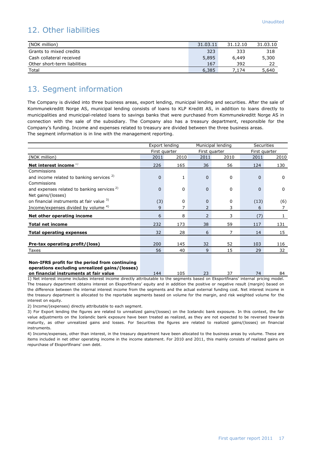#### 12. Other liabilities

| (NOK million)                | 31.03.11 | 31.12.10 | 31.03.10 |
|------------------------------|----------|----------|----------|
| Grants to mixed credits      | 323      | 333      | 318      |
| Cash collateral received     | 5,895    | 6,449    | 5,300    |
| Other short-term liabilities | 167      | 392      |          |
| Total                        | 6,385    | '.174    | 5,640    |

#### 13. Segment information

The Company is divided into three business areas, export lending, municipal lending and securities. After the sale of Kommunekreditt Norge AS, municipal lending consists of loans to KLP Kreditt AS, in addition to loans directly to municipalities and municipal-related loans to savings banks that were purchased from Kommunekreditt Norge AS in connection with the sale of the subsidiary. The Company also has a treasury department, responsible for the Company"s funding. Income and expenses related to treasury are divided between the three business areas. The segment information is in line with the management reporting.

|                                                        |               | Export lending<br>Municipal lending |                |               | <b>Securities</b> |               |
|--------------------------------------------------------|---------------|-------------------------------------|----------------|---------------|-------------------|---------------|
|                                                        | First quarter |                                     |                | First quarter |                   | First quarter |
| (NOK million)                                          | 2011          | 2010                                | 2011           | 2010          | 2011              | 2010          |
| Net interest income $1$                                | 226           | 165                                 | 36             | 56            | 124               | 130           |
| Commissions                                            |               |                                     |                |               |                   |               |
| and income related to banking services <sup>2)</sup>   | $\Omega$      | $\mathbf{1}$                        | $\Omega$       | 0             | $\Omega$          | $\Omega$      |
| Commissions                                            |               |                                     |                |               |                   |               |
| and expenses related to banking services <sup>2)</sup> | $\Omega$      | $\mathbf 0$                         | $\Omega$       | $\mathbf 0$   | $\Omega$          | $\mathbf 0$   |
| Net gains/(losses)                                     |               |                                     |                |               |                   |               |
| on financial instruments at fair value 3)              | (3)           | $\mathbf 0$                         | $\Omega$       | 0             | (13)              | (6)           |
| Income/expenses divided by volume 4)                   | 9             | 7                                   | 2              | 3             | 6                 | 7             |
| Net other operating income                             | 6             | 8                                   | $\overline{2}$ | 3             | (7)               |               |
| <b>Total net income</b>                                | 232           | 173                                 | 38             | 59            | 117               | 131           |
| <b>Total operating expenses</b>                        | 32            | 28                                  | 6              | 7             | 14                | 15            |
|                                                        |               |                                     |                |               |                   |               |
| Pre-tax operating profit/(loss)                        | 200           | 145                                 | 32             | 52            | 103               | 116           |
| Taxes                                                  | 56            | 40                                  | 9              | 15            | 29                | 32            |
|                                                        |               |                                     |                |               |                   |               |

#### **Non-IFRS profit for the period from continuing operations excluding unrealized gains/(losses)**

**on financial instruments at fair value** 144 105 23 37 74 84 1) Net interest income includes interest income directly attributable to the segments based on Eksportfinans" internal pricing model. The treasury department obtains interest on Eksportfinans' equity and in addition the positive or negative result (margin) based on the difference between the internal interest income from the segments and the actual external funding cost. Net interest income in the treasury department is allocated to the reportable segments based on volume for the margin, and risk weighted volume for the interest on equity.

2) Income/(expenses) directly attributable to each segment.

3) For Export lending the figures are related to unrealized gains/(losses) on the Icelandic bank exposure. In this context, the fair value adjustments on the Icelandic bank exposure have been treated as realized, as they are not expected to be reversed towards maturity, as other unrealized gains and losses. For Securities the figures are related to realized gains/(losses) on financial instruments.

4) Income/expenses, other than interest, in the treasury department have been allocated to the business areas by volume. These are items included in net other operating income in the income statement. For 2010 and 2011, this mainly consists of realized gains on repurchase of Eksportfinans' own debt.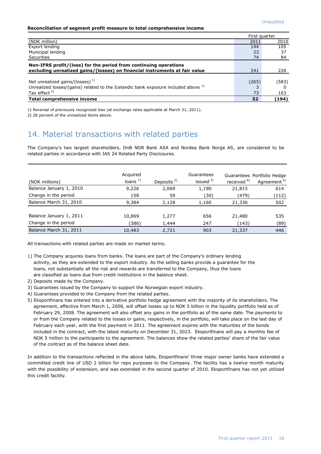#### **Reconciliation of segment profit measure to total comprehensive income**

|                                                                                               | First quarter |       |
|-----------------------------------------------------------------------------------------------|---------------|-------|
| (NOK million)                                                                                 | 2011          | 2010  |
| Export lending                                                                                | 144           | 105   |
| Municipal lending                                                                             | 23            | 37    |
| <b>Securities</b>                                                                             | 74            | 84    |
| Non-IFRS profit/(loss) for the period from continuing operations                              |               |       |
| excluding unrealized gains/(losses) on financial instruments at fair value                    | 241           | 226   |
|                                                                                               |               |       |
| Net unrealized gains/(losses) $1$                                                             | (265)         | (583) |
| Unrealized losses/(gains) related to the Icelandic bank exposure included above <sup>1)</sup> |               |       |
| Tax effect $2$ )                                                                              | 73            | 163   |
| Total comprehensive income                                                                    | 52            | (194) |

1) Reversal of previously recognized loss (at exchange rates applicable at March 31, 2011).

2) 28 percent of the unrealized items above.

#### 14. Material transactions with related parties

The Company's two largest shareholders, DnB NOR Bank ASA and Nordea Bank Norge AS, are considered to be related parties in accordance with IAS 24 Related Party Disclosures.

| (NOK millions)                                  | Acquired<br>loans $1)$ | Deposits $2$   | Guarantees<br>issued $3)$ | received <sup>4)</sup> | Guarantees Portfolio Hedge<br>Agreement <sup>5)</sup> |
|-------------------------------------------------|------------------------|----------------|---------------------------|------------------------|-------------------------------------------------------|
| Balance January 1, 2010                         | 9,226                  | 2,069          | 1,190                     | 21,815                 | 614                                                   |
| Change in the period                            | 158                    | 59             | (30)                      | (479)                  | (112)                                                 |
| Balance March 31, 2010                          | 9,384                  | 2,128          | 1,160                     | 21,336                 | 502                                                   |
| Balance January 1, 2011<br>Change in the period | 10,869<br>(386)        | 1,277<br>1,444 | 656<br>247                | 21,480<br>(143)        | 535<br>(89)                                           |
| Balance March 31, 2011                          | 10,483                 | 2.721          | 903                       | 21,337                 | 446                                                   |

All transactions with related parties are made on market terms.

- 1) The Company acquires loans from banks. The loans are part of the Company"s ordinary lending activity, as they are extended to the export industry. As the selling banks provide a guarantee for the loans, not substantially all the risk and rewards are transferred to the Company, thus the loans are classified as loans due from credit institutions in the balance sheet.
- 2) Deposits made by the Company.
- 3) Guarantees issued by the Company to support the Norwegian export industry.
- 4) Guarantees provided to the Company from the related parties.
- 5) Eksportfinans has entered into a derivative portfolio hedge agreement with the majority of its shareholders. The agreement, effective from March 1, 2008, will offset losses up to NOK 5 billion in the liquidity portfolio held as of February 29, 2008. The agreement will also offset any gains in the portfolio as of the same date. The payments to or from the Company related to the losses or gains, respectively, in the portfolio, will take place on the last day of February each year, with the first payment in 2011. The agreement expires with the maturities of the bonds included in the contract, with the latest maturity on December 31, 2023. Eksportfinans will pay a monthly fee of NOK 5 million to the participants to the agreement. The balances show the related parties" share of the fair value of the contract as of the balance sheet date.

In addition to the transactions reflected in the above table, Eksportfinans" three major owner banks have extended a committed credit line of USD 2 billion for repo purposes to the Company. The facility has a twelve month maturity with the possibility of extension, and was extended in the second quarter of 2010. Eksportfinans has not yet utilized this credit facility.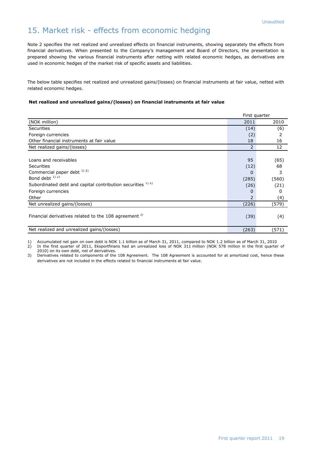#### 15. Market risk - effects from economic hedging

Note 2 specifies the net realized and unrealized effects on financial instruments, showing separately the effects from financial derivatives. When presented to the Company's management and Board of Directors, the presentation is prepared showing the various financial instruments after netting with related economic hedges, as derivatives are used in economic hedges of the market risk of specific assets and liabilities.

The below table specifies net realized and unrealized gains/(losses) on financial instruments at fair value, netted with related economic hedges.

#### **Net realized and unrealized gains/(losses) on financial instruments at fair value**

|                                                                  | First quarter  |       |
|------------------------------------------------------------------|----------------|-------|
| (NOK million)                                                    | 2011           | 2010  |
| <b>Securities</b>                                                | (14)           | (6)   |
| Foreign currencies                                               | (2)            | 2     |
| Other financial instruments at fair value                        | 18             | 16    |
| Net realized gains/(losses)                                      | $\overline{2}$ | 12    |
|                                                                  |                |       |
| Loans and receivables                                            | 95             | (65)  |
| <b>Securities</b>                                                | (12)           | 68    |
| Commercial paper debt $^{1/2}$                                   | 0              | 3     |
| Bond debt <sup>1)2)</sup>                                        | (285)          | (560) |
| Subordinated debt and capital contribution securities 1) 2)      | (26)           | (21)  |
| Foreign currencies                                               | 0              | 0     |
| Other                                                            | $\overline{2}$ | (4)   |
| Net unrealized gains/(losses)                                    | (226)          | (579) |
| Financial derivatives related to the 108 agreement <sup>3)</sup> | (39)           | (4)   |
| Net realized and unrealized gains/(losses)                       | (263)          | (571) |

1) Accumulated net gain on own debt is NOK 1.1 billion as of March 31, 2011, compared to NOK 1.2 billion as of March 31, 2010

2) In the first quarter of 2011, Eksportfinans had an unrealized loss of NOK 311 million (NOK 578 million in the first quarter of 2010) on its own debt, net of derivatives.

3) Derivatives related to components of the 108 Agreement. The 108 Agreement is accounted for at amortized cost, hence these derivatives are not included in the effects related to financial instruments at fair value.